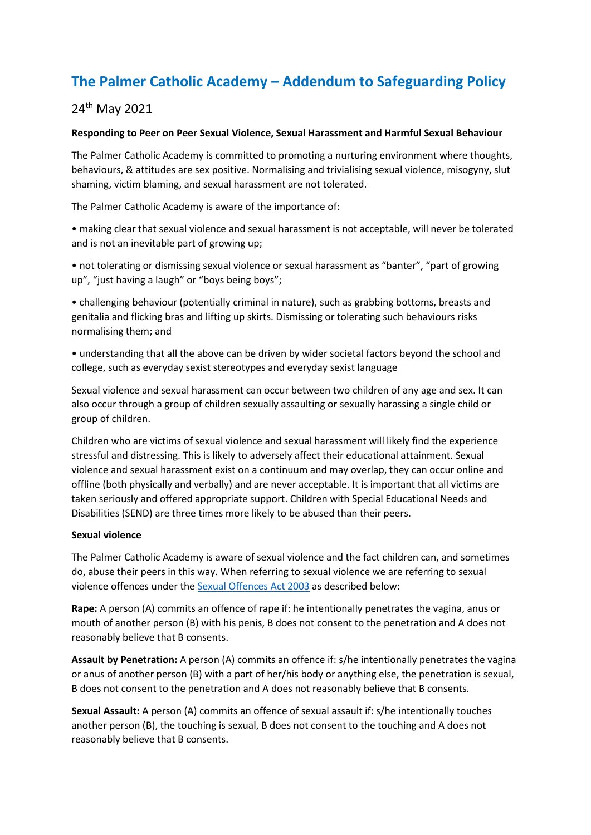# **The Palmer Catholic Academy – Addendum to Safeguarding Policy**

## 24th May 2021

#### **Responding to Peer on Peer Sexual Violence, Sexual Harassment and Harmful Sexual Behaviour**

The Palmer Catholic Academy is committed to promoting a nurturing environment where thoughts, behaviours, & attitudes are sex positive. Normalising and trivialising sexual violence, misogyny, slut shaming, victim blaming, and sexual harassment are not tolerated.

The Palmer Catholic Academy is aware of the importance of:

• making clear that sexual violence and sexual harassment is not acceptable, will never be tolerated and is not an inevitable part of growing up;

• not tolerating or dismissing sexual violence or sexual harassment as "banter", "part of growing up", "just having a laugh" or "boys being boys";

• challenging behaviour (potentially criminal in nature), such as grabbing bottoms, breasts and genitalia and flicking bras and lifting up skirts. Dismissing or tolerating such behaviours risks normalising them; and

• understanding that all the above can be driven by wider societal factors beyond the school and college, such as everyday sexist stereotypes and everyday sexist language

Sexual violence and sexual harassment can occur between two children of any age and sex. It can also occur through a group of children sexually assaulting or sexually harassing a single child or group of children.

Children who are victims of sexual violence and sexual harassment will likely find the experience stressful and distressing. This is likely to adversely affect their educational attainment. Sexual violence and sexual harassment exist on a continuum and may overlap, they can occur online and offline (both physically and verbally) and are never acceptable. It is important that all victims are taken seriously and offered appropriate support. Children with Special Educational Needs and Disabilities (SEND) are three times more likely to be abused than their peers.

#### **Sexual violence**

The Palmer Catholic Academy is aware of sexual violence and the fact children can, and sometimes do, abuse their peers in this way. When referring to sexual violence we are referring to sexual violence offences under the [Sexual Offences Act 2003](https://www.legislation.gov.uk/ukpga/2003/42/contents) as described below:

**Rape:** A person (A) commits an offence of rape if: he intentionally penetrates the vagina, anus or mouth of another person (B) with his penis, B does not consent to the penetration and A does not reasonably believe that B consents.

**Assault by Penetration:** A person (A) commits an offence if: s/he intentionally penetrates the vagina or anus of another person (B) with a part of her/his body or anything else, the penetration is sexual, B does not consent to the penetration and A does not reasonably believe that B consents.

**Sexual Assault:** A person (A) commits an offence of sexual assault if: s/he intentionally touches another person (B), the touching is sexual, B does not consent to the touching and A does not reasonably believe that B consents.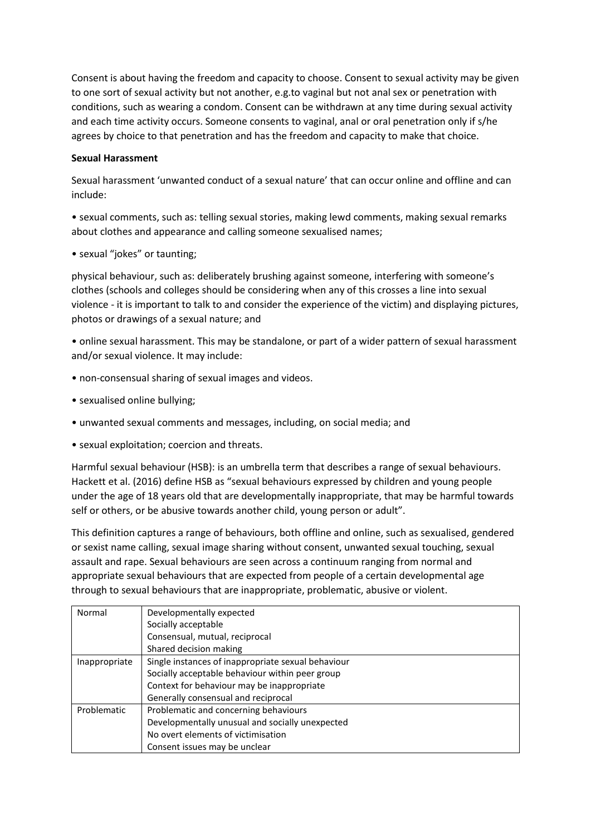Consent is about having the freedom and capacity to choose. Consent to sexual activity may be given to one sort of sexual activity but not another, e.g.to vaginal but not anal sex or penetration with conditions, such as wearing a condom. Consent can be withdrawn at any time during sexual activity and each time activity occurs. Someone consents to vaginal, anal or oral penetration only if s/he agrees by choice to that penetration and has the freedom and capacity to make that choice.

#### **Sexual Harassment**

Sexual harassment 'unwanted conduct of a sexual nature' that can occur online and offline and can include:

• sexual comments, such as: telling sexual stories, making lewd comments, making sexual remarks about clothes and appearance and calling someone sexualised names;

• sexual "jokes" or taunting;

physical behaviour, such as: deliberately brushing against someone, interfering with someone's clothes (schools and colleges should be considering when any of this crosses a line into sexual violence - it is important to talk to and consider the experience of the victim) and displaying pictures, photos or drawings of a sexual nature; and

• online sexual harassment. This may be standalone, or part of a wider pattern of sexual harassment and/or sexual violence. It may include:

- non-consensual sharing of sexual images and videos.
- sexualised online bullying;
- unwanted sexual comments and messages, including, on social media; and
- sexual exploitation; coercion and threats.

Harmful sexual behaviour (HSB): is an umbrella term that describes a range of sexual behaviours. Hackett et al. (2016) define HSB as "sexual behaviours expressed by children and young people under the age of 18 years old that are developmentally inappropriate, that may be harmful towards self or others, or be abusive towards another child, young person or adult".

This definition captures a range of behaviours, both offline and online, such as sexualised, gendered or sexist name calling, sexual image sharing without consent, unwanted sexual touching, sexual assault and rape. Sexual behaviours are seen across a continuum ranging from normal and appropriate sexual behaviours that are expected from people of a certain developmental age through to sexual behaviours that are inappropriate, problematic, abusive or violent.

| Normal        | Developmentally expected                           |
|---------------|----------------------------------------------------|
|               | Socially acceptable                                |
|               | Consensual, mutual, reciprocal                     |
|               | Shared decision making                             |
| Inappropriate | Single instances of inappropriate sexual behaviour |
|               | Socially acceptable behaviour within peer group    |
|               | Context for behaviour may be inappropriate         |
|               | Generally consensual and reciprocal                |
| Problematic   | Problematic and concerning behaviours              |
|               | Developmentally unusual and socially unexpected    |
|               | No overt elements of victimisation                 |
|               | Consent issues may be unclear                      |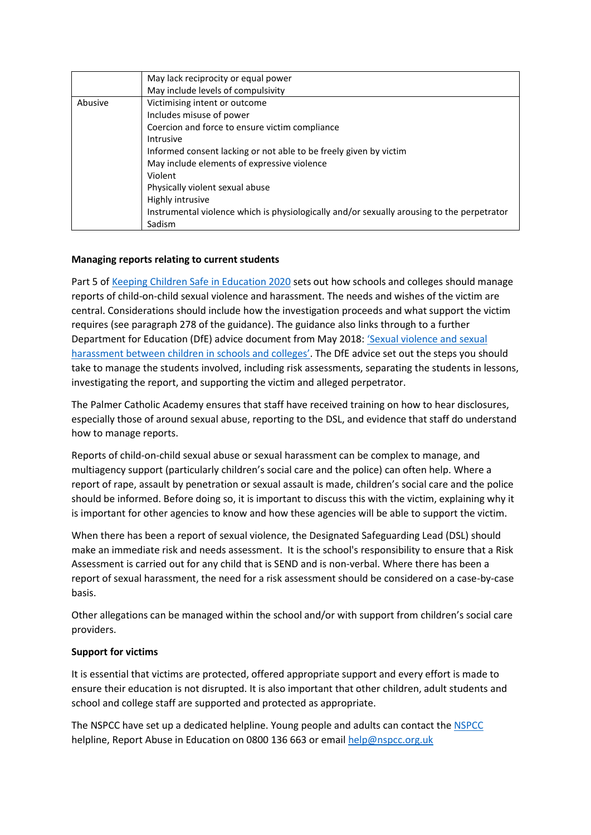|         | May lack reciprocity or equal power                                                        |
|---------|--------------------------------------------------------------------------------------------|
|         | May include levels of compulsivity                                                         |
| Abusive | Victimising intent or outcome                                                              |
|         | Includes misuse of power                                                                   |
|         | Coercion and force to ensure victim compliance                                             |
|         | Intrusive                                                                                  |
|         | Informed consent lacking or not able to be freely given by victim                          |
|         | May include elements of expressive violence                                                |
|         | Violent                                                                                    |
|         | Physically violent sexual abuse                                                            |
|         | Highly intrusive                                                                           |
|         | Instrumental violence which is physiologically and/or sexually arousing to the perpetrator |
|         | Sadism                                                                                     |

#### **Managing reports relating to current students**

Part 5 o[f Keeping Children Safe in Education 2020](https://assets.publishing.service.gov.uk/government/uploads/system/uploads/attachment_data/file/954314/Keeping_children_safe_in_education_2020_-_Update_-_January_2021.pdf) sets out how schools and colleges should manage reports of child-on-child sexual violence and harassment. The needs and wishes of the victim are central. Considerations should include how the investigation proceeds and what support the victim requires (see paragraph 278 of the guidance). The guidance also links through to a further Department for Education (DfE) advice document from May 2018: ['Sexual violence and sexual](https://assets.publishing.service.gov.uk/government/uploads/system/uploads/attachment_data/file/719902/Sexual_violence_and_sexual_harassment_between_children_in_schools_and_colleges.pdf)  [harassment between children in schools and colleges'](https://assets.publishing.service.gov.uk/government/uploads/system/uploads/attachment_data/file/719902/Sexual_violence_and_sexual_harassment_between_children_in_schools_and_colleges.pdf). The DfE advice set out the steps you should take to manage the students involved, including risk assessments, separating the students in lessons, investigating the report, and supporting the victim and alleged perpetrator.

The Palmer Catholic Academy ensures that staff have received training on how to hear disclosures, especially those of around sexual abuse, reporting to the DSL, and evidence that staff do understand how to manage reports.

Reports of child-on-child sexual abuse or sexual harassment can be complex to manage, and multiagency support (particularly children's social care and the police) can often help. Where a report of rape, assault by penetration or sexual assault is made, children's social care and the police should be informed. Before doing so, it is important to discuss this with the victim, explaining why it is important for other agencies to know and how these agencies will be able to support the victim.

When there has been a report of sexual violence, the Designated Safeguarding Lead (DSL) should make an immediate risk and needs assessment. It is the school's responsibility to ensure that a Risk Assessment is carried out for any child that is SEND and is non-verbal. Where there has been a report of sexual harassment, the need for a risk assessment should be considered on a case-by-case basis.

Other allegations can be managed within the school and/or with support from children's social care providers.

#### **Support for victims**

It is essential that victims are protected, offered appropriate support and every effort is made to ensure their education is not disrupted. It is also important that other children, adult students and school and college staff are supported and protected as appropriate.

The NSPCC have set up a dedicated helpline. Young people and adults can contact th[e NSPCC](https://www.nspcc.org.uk/about-us/news-opinion/2021/sexual-abuse-victims-schools-helpline/) helpline, Report Abuse in Education on 0800 136 663 or emai[l help@nspcc.org.uk](mailto:help@nspcc.org.uk)